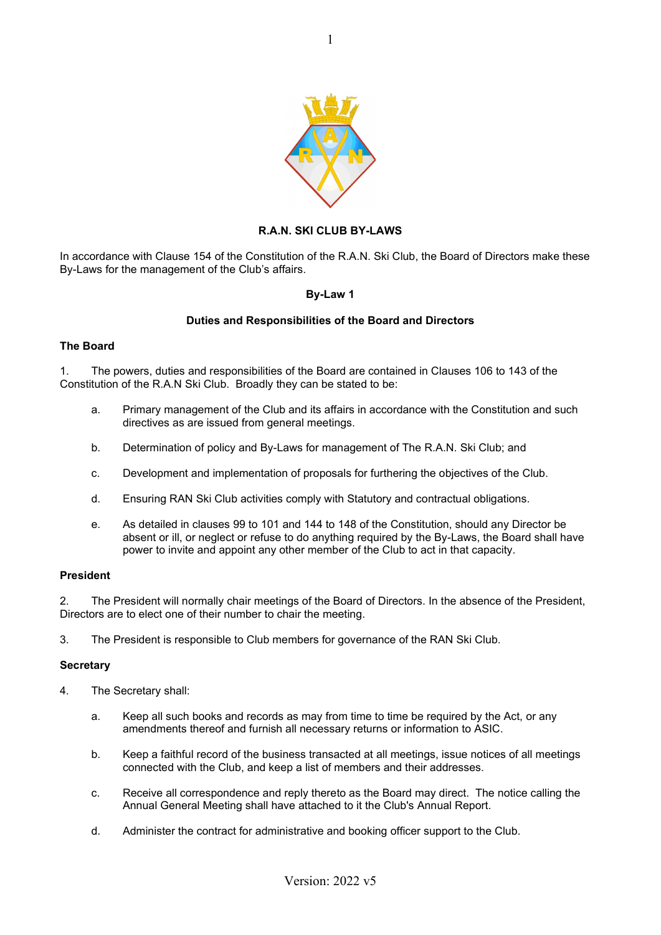

## **R.A.N. SKI CLUB BY-LAWS**

In accordance with Clause 154 of the Constitution of the R.A.N. Ski Club, the Board of Directors make these By-Laws for the management of the Club's affairs.

#### **By-Law 1**

#### **Duties and Responsibilities of the Board and Directors**

#### **The Board**

1. The powers, duties and responsibilities of the Board are contained in Clauses 106 to 143 of the Constitution of the R.A.N Ski Club. Broadly they can be stated to be:

- a. Primary management of the Club and its affairs in accordance with the Constitution and such directives as are issued from general meetings.
- b. Determination of policy and By-Laws for management of The R.A.N. Ski Club; and
- c. Development and implementation of proposals for furthering the objectives of the Club.
- d. Ensuring RAN Ski Club activities comply with Statutory and contractual obligations.
- e. As detailed in clauses 99 to 101 and 144 to 148 of the Constitution, should any Director be absent or ill, or neglect or refuse to do anything required by the By-Laws, the Board shall have power to invite and appoint any other member of the Club to act in that capacity.

#### **President**

2. The President will normally chair meetings of the Board of Directors. In the absence of the President, Directors are to elect one of their number to chair the meeting.

3. The President is responsible to Club members for governance of the RAN Ski Club.

#### **Secretary**

- 4. The Secretary shall:
	- a. Keep all such books and records as may from time to time be required by the Act, or any amendments thereof and furnish all necessary returns or information to ASIC.
	- b. Keep a faithful record of the business transacted at all meetings, issue notices of all meetings connected with the Club, and keep a list of members and their addresses.
	- c. Receive all correspondence and reply thereto as the Board may direct. The notice calling the Annual General Meeting shall have attached to it the Club's Annual Report.
	- d. Administer the contract for administrative and booking officer support to the Club.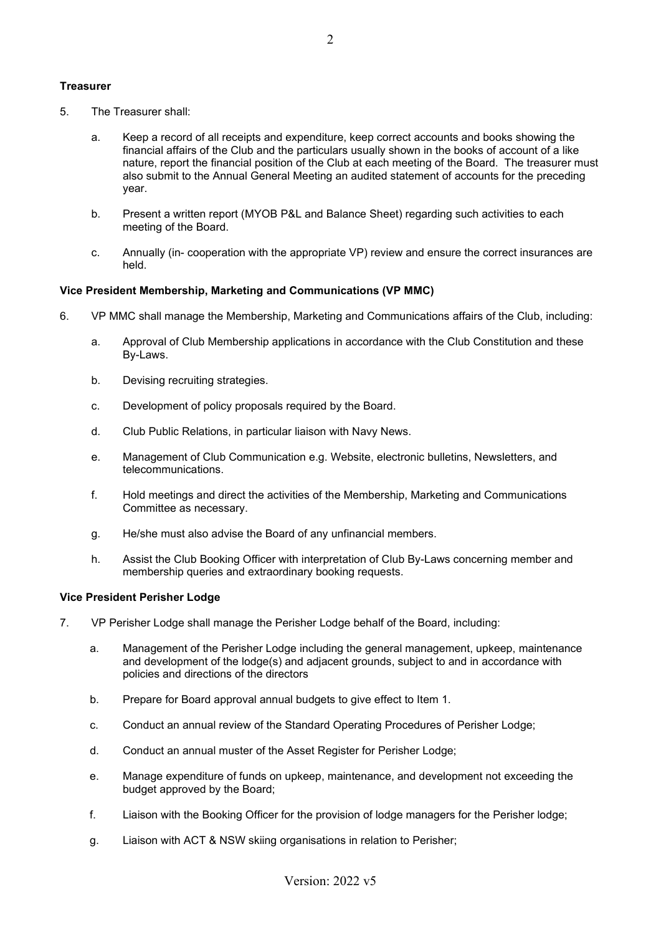## **Treasurer**

- 5. The Treasurer shall:
	- a. Keep a record of all receipts and expenditure, keep correct accounts and books showing the financial affairs of the Club and the particulars usually shown in the books of account of a like nature, report the financial position of the Club at each meeting of the Board. The treasurer must also submit to the Annual General Meeting an audited statement of accounts for the preceding year.
	- b. Present a written report (MYOB P&L and Balance Sheet) regarding such activities to each meeting of the Board.
	- c. Annually (in- cooperation with the appropriate VP) review and ensure the correct insurances are held.

## **Vice President Membership, Marketing and Communications (VP MMC)**

- 6. VP MMC shall manage the Membership, Marketing and Communications affairs of the Club, including:
	- a. Approval of Club Membership applications in accordance with the Club Constitution and these By-Laws.
	- b. Devising recruiting strategies.
	- c. Development of policy proposals required by the Board.
	- d. Club Public Relations, in particular liaison with Navy News.
	- e. Management of Club Communication e.g. Website, electronic bulletins, Newsletters, and telecommunications.
	- f. Hold meetings and direct the activities of the Membership, Marketing and Communications Committee as necessary.
	- g. He/she must also advise the Board of any unfinancial members.
	- h. Assist the Club Booking Officer with interpretation of Club By-Laws concerning member and membership queries and extraordinary booking requests.

## **Vice President Perisher Lodge**

- 7. VP Perisher Lodge shall manage the Perisher Lodge behalf of the Board, including:
	- a. Management of the Perisher Lodge including the general management, upkeep, maintenance and development of the lodge(s) and adjacent grounds, subject to and in accordance with policies and directions of the directors
	- b. Prepare for Board approval annual budgets to give effect to Item 1.
	- c. Conduct an annual review of the Standard Operating Procedures of Perisher Lodge;
	- d. Conduct an annual muster of the Asset Register for Perisher Lodge;
	- e. Manage expenditure of funds on upkeep, maintenance, and development not exceeding the budget approved by the Board;
	- f. Liaison with the Booking Officer for the provision of lodge managers for the Perisher lodge;
	- g. Liaison with ACT & NSW skiing organisations in relation to Perisher;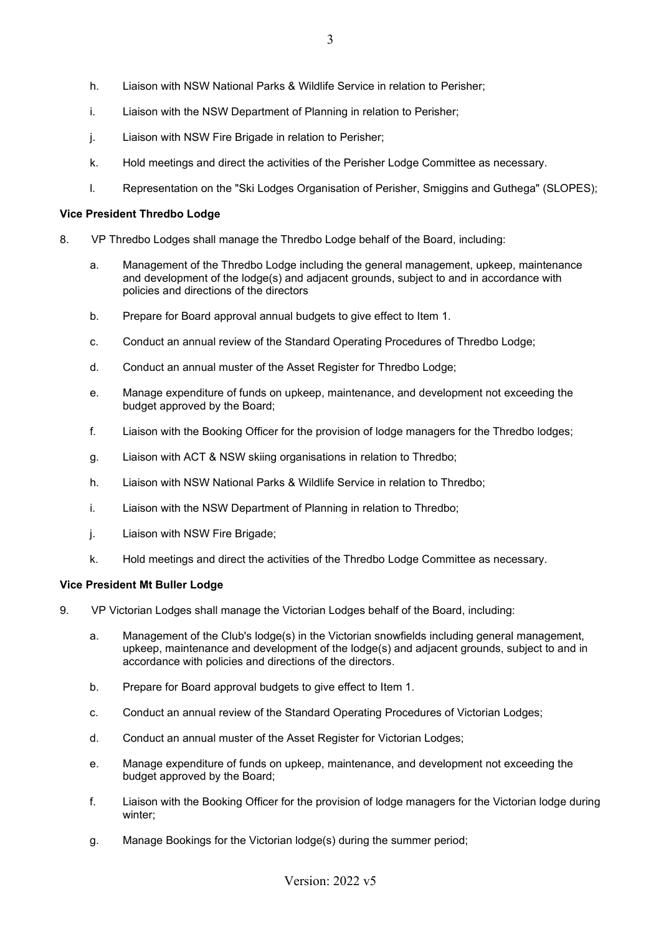- h. Liaison with NSW National Parks & Wildlife Service in relation to Perisher;
- i. Liaison with the NSW Department of Planning in relation to Perisher;
- j. Liaison with NSW Fire Brigade in relation to Perisher;
- k. Hold meetings and direct the activities of the Perisher Lodge Committee as necessary.
- l. Representation on the "Ski Lodges Organisation of Perisher, Smiggins and Guthega" (SLOPES);

### **Vice President Thredbo Lodge**

- 8. VP Thredbo Lodges shall manage the Thredbo Lodge behalf of the Board, including:
	- a. Management of the Thredbo Lodge including the general management, upkeep, maintenance and development of the lodge(s) and adjacent grounds, subject to and in accordance with policies and directions of the directors
	- b. Prepare for Board approval annual budgets to give effect to Item 1.
	- c. Conduct an annual review of the Standard Operating Procedures of Thredbo Lodge;
	- d. Conduct an annual muster of the Asset Register for Thredbo Lodge;
	- e. Manage expenditure of funds on upkeep, maintenance, and development not exceeding the budget approved by the Board;
	- f. Liaison with the Booking Officer for the provision of lodge managers for the Thredbo lodges;
	- g. Liaison with ACT & NSW skiing organisations in relation to Thredbo;
	- h. Liaison with NSW National Parks & Wildlife Service in relation to Thredbo;
	- i. Liaison with the NSW Department of Planning in relation to Thredbo;
	- j. Liaison with NSW Fire Brigade;
	- k. Hold meetings and direct the activities of the Thredbo Lodge Committee as necessary.

## **Vice President Mt Buller Lodge**

- 9. VP Victorian Lodges shall manage the Victorian Lodges behalf of the Board, including:
	- a. Management of the Club's lodge(s) in the Victorian snowfields including general management, upkeep, maintenance and development of the lodge(s) and adjacent grounds, subject to and in accordance with policies and directions of the directors.
	- b. Prepare for Board approval budgets to give effect to Item 1.
	- c. Conduct an annual review of the Standard Operating Procedures of Victorian Lodges;
	- d. Conduct an annual muster of the Asset Register for Victorian Lodges;
	- e. Manage expenditure of funds on upkeep, maintenance, and development not exceeding the budget approved by the Board;
	- f. Liaison with the Booking Officer for the provision of lodge managers for the Victorian lodge during winter;
	- g. Manage Bookings for the Victorian lodge(s) during the summer period;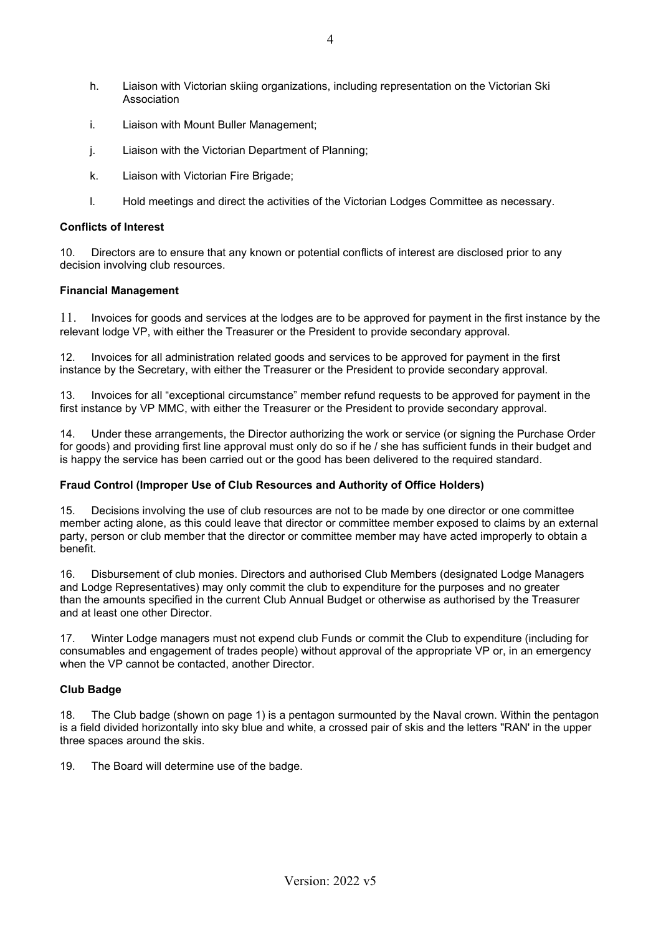- h. Liaison with Victorian skiing organizations, including representation on the Victorian Ski Association
- i. Liaison with Mount Buller Management;
- j. Liaison with the Victorian Department of Planning;
- k. Liaison with Victorian Fire Brigade;
- l. Hold meetings and direct the activities of the Victorian Lodges Committee as necessary.

### **Conflicts of Interest**

10. Directors are to ensure that any known or potential conflicts of interest are disclosed prior to any decision involving club resources.

#### **Financial Management**

11. Invoices for goods and services at the lodges are to be approved for payment in the first instance by the relevant lodge VP, with either the Treasurer or the President to provide secondary approval.

12. Invoices for all administration related goods and services to be approved for payment in the first instance by the Secretary, with either the Treasurer or the President to provide secondary approval.

13. Invoices for all "exceptional circumstance" member refund requests to be approved for payment in the first instance by VP MMC, with either the Treasurer or the President to provide secondary approval.

14. Under these arrangements, the Director authorizing the work or service (or signing the Purchase Order for goods) and providing first line approval must only do so if he / she has sufficient funds in their budget and is happy the service has been carried out or the good has been delivered to the required standard.

## **Fraud Control (Improper Use of Club Resources and Authority of Office Holders)**

15. Decisions involving the use of club resources are not to be made by one director or one committee member acting alone, as this could leave that director or committee member exposed to claims by an external party, person or club member that the director or committee member may have acted improperly to obtain a benefit.

16. Disbursement of club monies. Directors and authorised Club Members (designated Lodge Managers and Lodge Representatives) may only commit the club to expenditure for the purposes and no greater than the amounts specified in the current Club Annual Budget or otherwise as authorised by the Treasurer and at least one other Director.

17. Winter Lodge managers must not expend club Funds or commit the Club to expenditure (including for consumables and engagement of trades people) without approval of the appropriate VP or, in an emergency when the VP cannot be contacted, another Director.

## **Club Badge**

18. The Club badge (shown on page 1) is a pentagon surmounted by the Naval crown. Within the pentagon is a field divided horizontally into sky blue and white, a crossed pair of skis and the letters "RAN' in the upper three spaces around the skis.

19. The Board will determine use of the badge.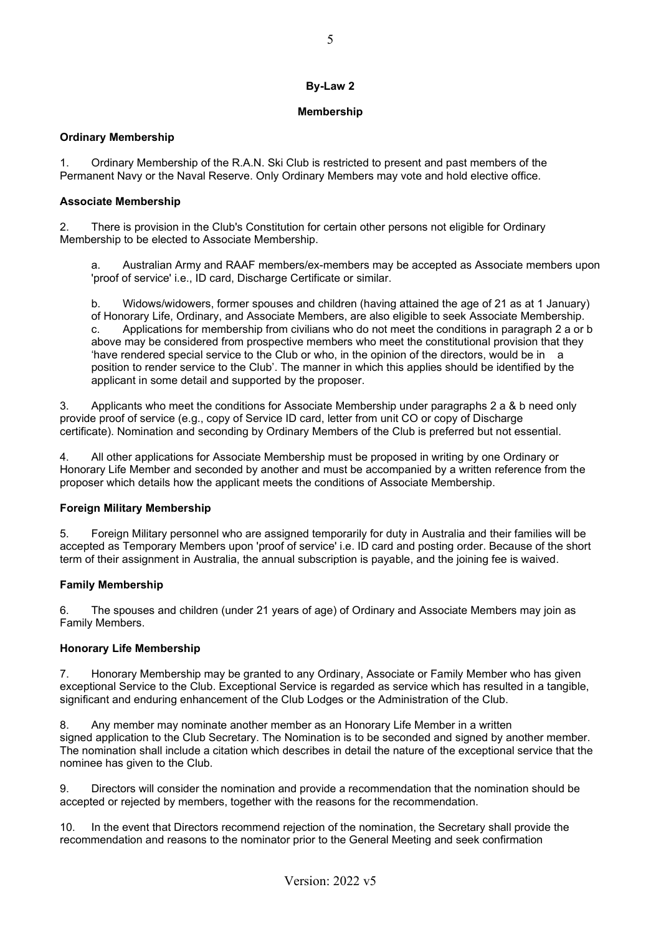## **Membership**

## **Ordinary Membership**

1. Ordinary Membership of the R.A.N. Ski Club is restricted to present and past members of the Permanent Navy or the Naval Reserve. Only Ordinary Members may vote and hold elective office.

## **Associate Membership**

2. There is provision in the Club's Constitution for certain other persons not eligible for Ordinary Membership to be elected to Associate Membership.

a. Australian Army and RAAF members/ex-members may be accepted as Associate members upon 'proof of service' i.e., ID card, Discharge Certificate or similar.

b. Widows/widowers, former spouses and children (having attained the age of 21 as at 1 January) of Honorary Life, Ordinary, and Associate Members, are also eligible to seek Associate Membership. c. Applications for membership from civilians who do not meet the conditions in paragraph 2 a or b above may be considered from prospective members who meet the constitutional provision that they 'have rendered special service to the Club or who, in the opinion of the directors, would be in a position to render service to the Club'. The manner in which this applies should be identified by the applicant in some detail and supported by the proposer.

3. Applicants who meet the conditions for Associate Membership under paragraphs 2 a & b need only provide proof of service (e.g., copy of Service ID card, letter from unit CO or copy of Discharge certificate). Nomination and seconding by Ordinary Members of the Club is preferred but not essential.

4. All other applications for Associate Membership must be proposed in writing by one Ordinary or Honorary Life Member and seconded by another and must be accompanied by a written reference from the proposer which details how the applicant meets the conditions of Associate Membership.

# **Foreign Military Membership**

5. Foreign Military personnel who are assigned temporarily for duty in Australia and their families will be accepted as Temporary Members upon 'proof of service' i.e. ID card and posting order. Because of the short term of their assignment in Australia, the annual subscription is payable, and the joining fee is waived.

# **Family Membership**

6. The spouses and children (under 21 years of age) of Ordinary and Associate Members may join as Family Members.

# **Honorary Life Membership**

7. Honorary Membership may be granted to any Ordinary, Associate or Family Member who has given exceptional Service to the Club. Exceptional Service is regarded as service which has resulted in a tangible, significant and enduring enhancement of the Club Lodges or the Administration of the Club.

8. Any member may nominate another member as an Honorary Life Member in a written signed application to the Club Secretary. The Nomination is to be seconded and signed by another member. The nomination shall include a citation which describes in detail the nature of the exceptional service that the nominee has given to the Club.

9. Directors will consider the nomination and provide a recommendation that the nomination should be accepted or rejected by members, together with the reasons for the recommendation.

10. In the event that Directors recommend rejection of the nomination, the Secretary shall provide the recommendation and reasons to the nominator prior to the General Meeting and seek confirmation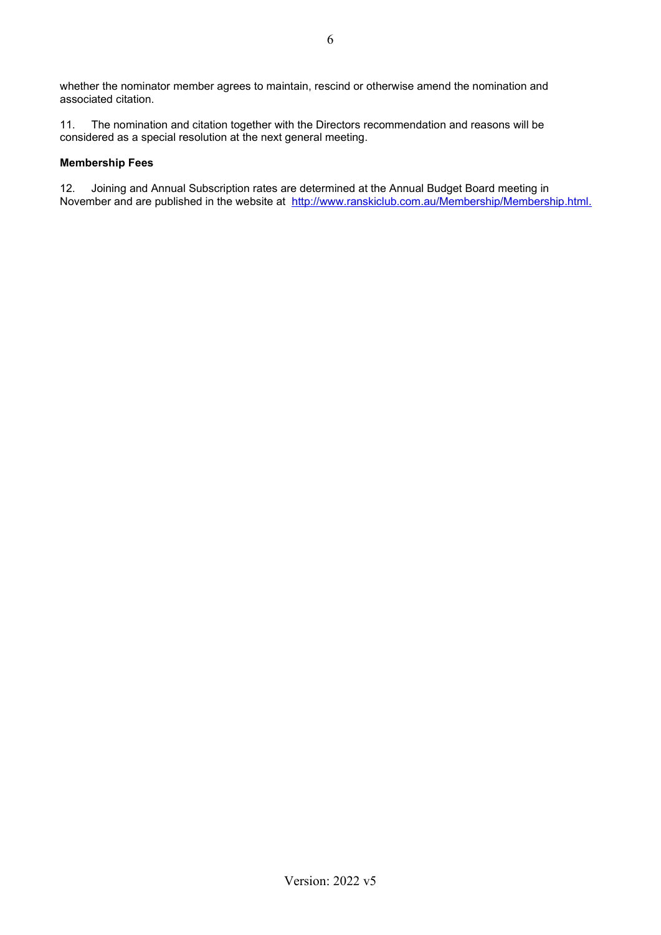11. The nomination and citation together with the Directors recommendation and reasons will be considered as a special resolution at the next general meeting.

# **Membership Fees**

12. Joining and Annual Subscription rates are determined at the Annual Budget Board meeting in November and are published in the website at [http://www.ranskiclub.com.au/Membership/Membership.html.](about:blank)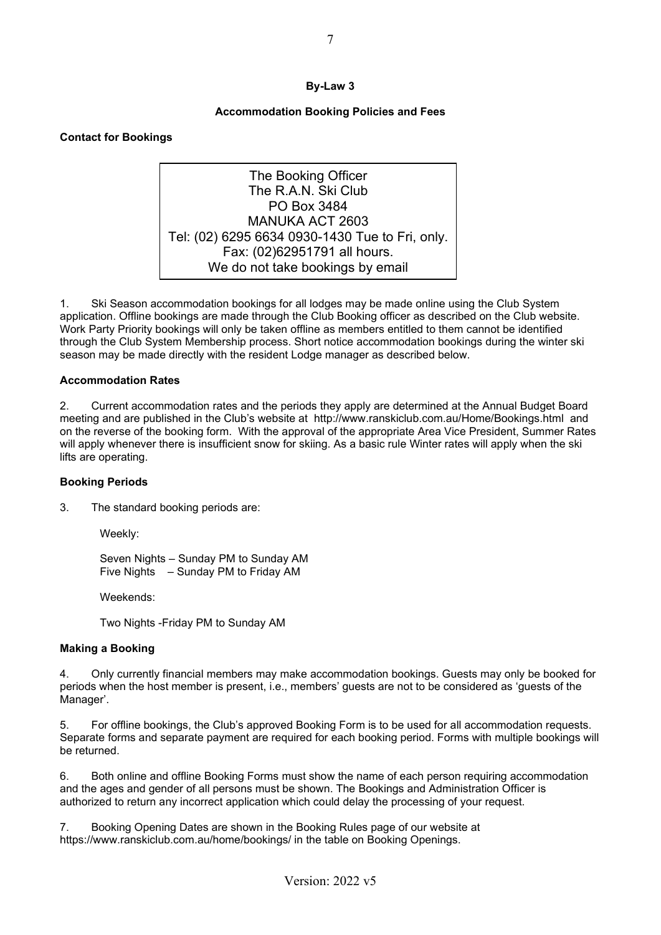# **Accommodation Booking Policies and Fees**

## **Contact for Bookings**

The Booking Officer The R A N Ski Club PO Box 3484 MANUKA ACT 2603 Tel: (02) 6295 6634 0930-1430 Tue to Fri, only. Fax: (02)62951791 all hours. We do not take bookings by email

1. Ski Season accommodation bookings for all lodges may be made online using the Club System application. Offline bookings are made through the Club Booking officer as described on the Club website. Work Party Priority bookings will only be taken offline as members entitled to them cannot be identified through the Club System Membership process. Short notice accommodation bookings during the winter ski season may be made directly with the resident Lodge manager as described below.

#### **Accommodation Rates**

2. Current accommodation rates and the periods they apply are determined at the Annual Budget Board meeting and are published in the Club's website at [http://www.ranskiclub.com.au/Home/Bookings.html](about:blank) and on the reverse of the booking form. With the approval of the appropriate Area Vice President, Summer Rates will apply whenever there is insufficient snow for skiing. As a basic rule Winter rates will apply when the ski lifts are operating.

#### **Booking Periods**

3. The standard booking periods are:

Weekly:

Seven Nights – Sunday PM to Sunday AM Five Nights – Sunday PM to Friday AM

Weekends:

Two Nights -Friday PM to Sunday AM

## **Making a Booking**

4. Only currently financial members may make accommodation bookings. Guests may only be booked for periods when the host member is present, i.e., members' guests are not to be considered as 'guests of the Manager'.

5. For offline bookings, the Club's approved Booking Form is to be used for all accommodation requests. Separate forms and separate payment are required for each booking period. Forms with multiple bookings will be returned.

6. Both online and offline Booking Forms must show the name of each person requiring accommodation and the ages and gender of all persons must be shown. The Bookings and Administration Officer is authorized to return any incorrect application which could delay the processing of your request.

7. Booking Opening Dates are shown in the Booking Rules page of our website at https://www.ranskiclub.com.au/home/bookings/ in the table on Booking Openings.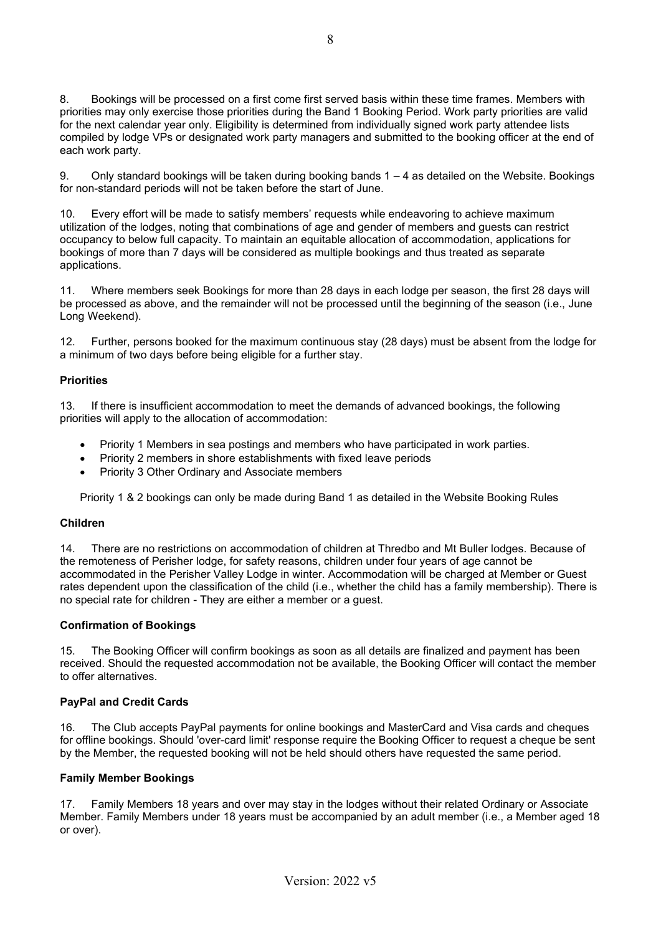8. Bookings will be processed on a first come first served basis within these time frames. Members with priorities may only exercise those priorities during the Band 1 Booking Period. Work party priorities are valid for the next calendar year only. Eligibility is determined from individually signed work party attendee lists compiled by lodge VPs or designated work party managers and submitted to the booking officer at the end of each work party.

9. Only standard bookings will be taken during booking bands 1 – 4 as detailed on the Website. Bookings for non-standard periods will not be taken before the start of June.

10. Every effort will be made to satisfy members' requests while endeavoring to achieve maximum utilization of the lodges, noting that combinations of age and gender of members and guests can restrict occupancy to below full capacity. To maintain an equitable allocation of accommodation, applications for bookings of more than 7 days will be considered as multiple bookings and thus treated as separate applications.

11. Where members seek Bookings for more than 28 days in each lodge per season, the first 28 days will be processed as above, and the remainder will not be processed until the beginning of the season (i.e., June Long Weekend).

12. Further, persons booked for the maximum continuous stay (28 days) must be absent from the lodge for a minimum of two days before being eligible for a further stay.

## **Priorities**

13. If there is insufficient accommodation to meet the demands of advanced bookings, the following priorities will apply to the allocation of accommodation:

- Priority 1 Members in sea postings and members who have participated in work parties.
- Priority 2 members in shore establishments with fixed leave periods
- Priority 3 Other Ordinary and Associate members

Priority 1 & 2 bookings can only be made during Band 1 as detailed in the Website Booking Rules

## **Children**

14. There are no restrictions on accommodation of children at Thredbo and Mt Buller lodges. Because of the remoteness of Perisher lodge, for safety reasons, children under four years of age cannot be accommodated in the Perisher Valley Lodge in winter. Accommodation will be charged at Member or Guest rates dependent upon the classification of the child (i.e., whether the child has a family membership). There is no special rate for children - They are either a member or a guest.

## **Confirmation of Bookings**

15. The Booking Officer will confirm bookings as soon as all details are finalized and payment has been received. Should the requested accommodation not be available, the Booking Officer will contact the member to offer alternatives.

## **PayPal and Credit Cards**

16. The Club accepts PayPal payments for online bookings and MasterCard and Visa cards and cheques for offline bookings. Should 'over-card limit' response require the Booking Officer to request a cheque be sent by the Member, the requested booking will not be held should others have requested the same period.

## **Family Member Bookings**

17. Family Members 18 years and over may stay in the lodges without their related Ordinary or Associate Member. Family Members under 18 years must be accompanied by an adult member (i.e., a Member aged 18 or over).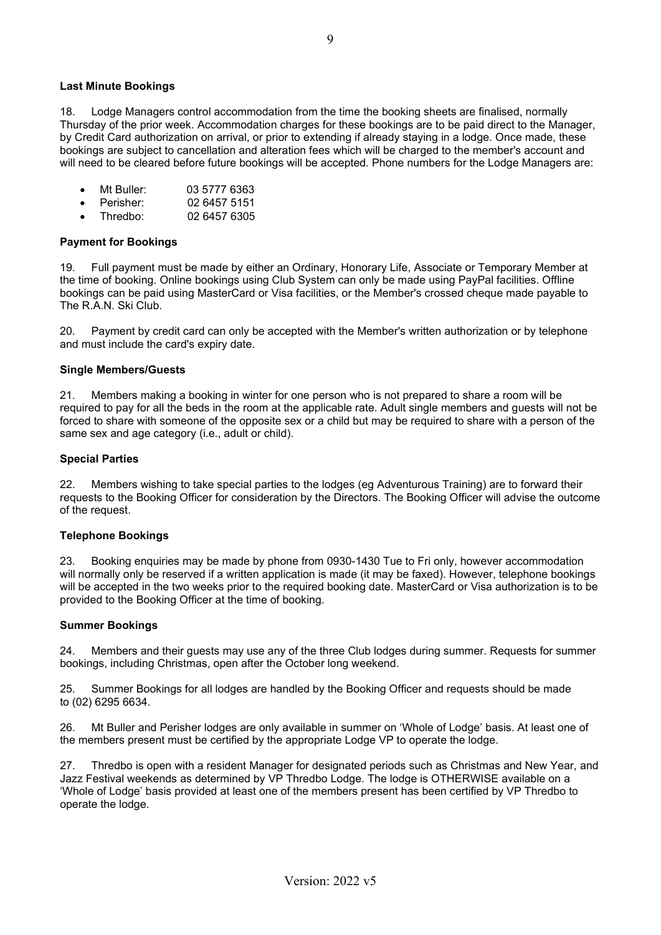#### **Last Minute Bookings**

18. Lodge Managers control accommodation from the time the booking sheets are finalised, normally Thursday of the prior week. Accommodation charges for these bookings are to be paid direct to the Manager, by Credit Card authorization on arrival, or prior to extending if already staying in a lodge. Once made, these bookings are subject to cancellation and alteration fees which will be charged to the member's account and will need to be cleared before future bookings will be accepted. Phone numbers for the Lodge Managers are:

- Mt Buller: 03 5777 6363
- Perisher: 02 6457 5151
- Thredbo: 02 6457 6305

#### **Payment for Bookings**

19. Full payment must be made by either an Ordinary, Honorary Life, Associate or Temporary Member at the time of booking. Online bookings using Club System can only be made using PayPal facilities. Offline bookings can be paid using MasterCard or Visa facilities, or the Member's crossed cheque made payable to The R.A.N. Ski Club.

20. Payment by credit card can only be accepted with the Member's written authorization or by telephone and must include the card's expiry date.

#### **Single Members/Guests**

21. Members making a booking in winter for one person who is not prepared to share a room will be required to pay for all the beds in the room at the applicable rate. Adult single members and guests will not be forced to share with someone of the opposite sex or a child but may be required to share with a person of the same sex and age category (i.e., adult or child).

#### **Special Parties**

22. Members wishing to take special parties to the lodges (eg Adventurous Training) are to forward their requests to the Booking Officer for consideration by the Directors. The Booking Officer will advise the outcome of the request.

#### **Telephone Bookings**

23. Booking enquiries may be made by phone from 0930-1430 Tue to Fri only, however accommodation will normally only be reserved if a written application is made (it may be faxed). However, telephone bookings will be accepted in the two weeks prior to the required booking date. MasterCard or Visa authorization is to be provided to the Booking Officer at the time of booking.

#### **Summer Bookings**

24. Members and their guests may use any of the three Club lodges during summer. Requests for summer bookings, including Christmas, open after the October long weekend.

25. Summer Bookings for all lodges are handled by the Booking Officer and requests should be made to (02) 6295 6634.

26. Mt Buller and Perisher lodges are only available in summer on 'Whole of Lodge' basis. At least one of the members present must be certified by the appropriate Lodge VP to operate the lodge.

27. Thredbo is open with a resident Manager for designated periods such as Christmas and New Year, and Jazz Festival weekends as determined by VP Thredbo Lodge. The lodge is OTHERWISE available on a 'Whole of Lodge' basis provided at least one of the members present has been certified by VP Thredbo to operate the lodge.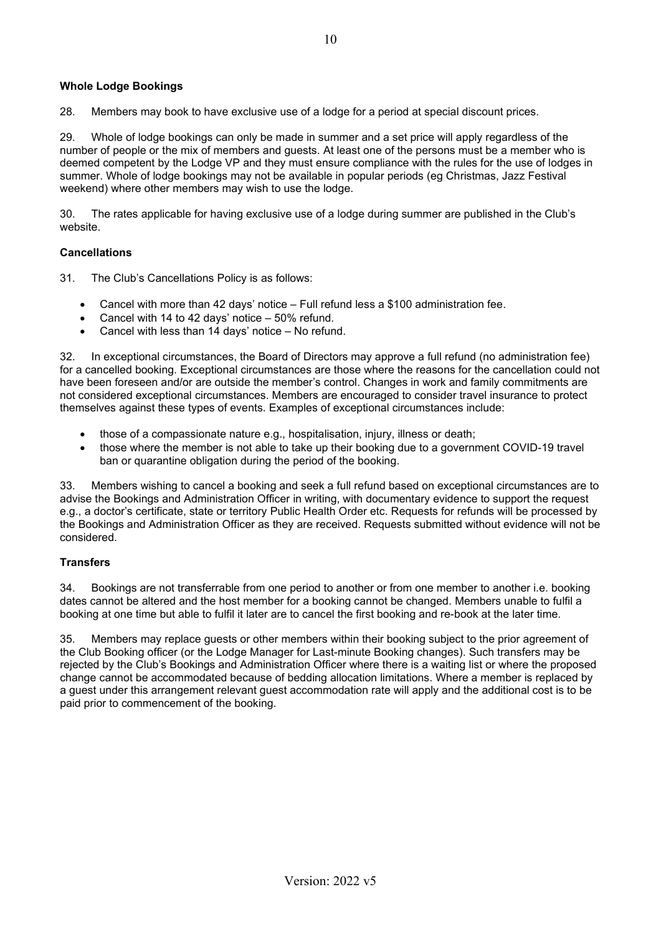## **Whole Lodge Bookings**

28. Members may book to have exclusive use of a lodge for a period at special discount prices.

29. Whole of lodge bookings can only be made in summer and a set price will apply regardless of the number of people or the mix of members and guests. At least one of the persons must be a member who is deemed competent by the Lodge VP and they must ensure compliance with the rules for the use of lodges in summer. Whole of lodge bookings may not be available in popular periods (eg Christmas, Jazz Festival weekend) where other members may wish to use the lodge.

30. The rates applicable for having exclusive use of a lodge during summer are published in the Club's website.

#### **Cancellations**

31. The Club's Cancellations Policy is as follows:

- Cancel with more than 42 days' notice Full refund less a \$100 administration fee.
- Cancel with 14 to 42 days' notice 50% refund.
- Cancel with less than 14 days' notice No refund.

32. In exceptional circumstances, the Board of Directors may approve a full refund (no administration fee) for a cancelled booking. Exceptional circumstances are those where the reasons for the cancellation could not have been foreseen and/or are outside the member's control. Changes in work and family commitments are not considered exceptional circumstances. Members are encouraged to consider travel insurance to protect themselves against these types of events. Examples of exceptional circumstances include:

- those of a compassionate nature e.g., hospitalisation, injury, illness or death;
- those where the member is not able to take up their booking due to a government COVID-19 travel ban or quarantine obligation during the period of the booking.

33. Members wishing to cancel a booking and seek a full refund based on exceptional circumstances are to advise the Bookings and Administration Officer in writing, with documentary evidence to support the request e.g., a doctor's certificate, state or territory Public Health Order etc. Requests for refunds will be processed by the Bookings and Administration Officer as they are received. Requests submitted without evidence will not be considered.

## **Transfers**

34. Bookings are not transferrable from one period to another or from one member to another i.e. booking dates cannot be altered and the host member for a booking cannot be changed. Members unable to fulfil a booking at one time but able to fulfil it later are to cancel the first booking and re-book at the later time.

35. Members may replace guests or other members within their booking subject to the prior agreement of the Club Booking officer (or the Lodge Manager for Last-minute Booking changes). Such transfers may be rejected by the Club's Bookings and Administration Officer where there is a waiting list or where the proposed change cannot be accommodated because of bedding allocation limitations. Where a member is replaced by a guest under this arrangement relevant guest accommodation rate will apply and the additional cost is to be paid prior to commencement of the booking.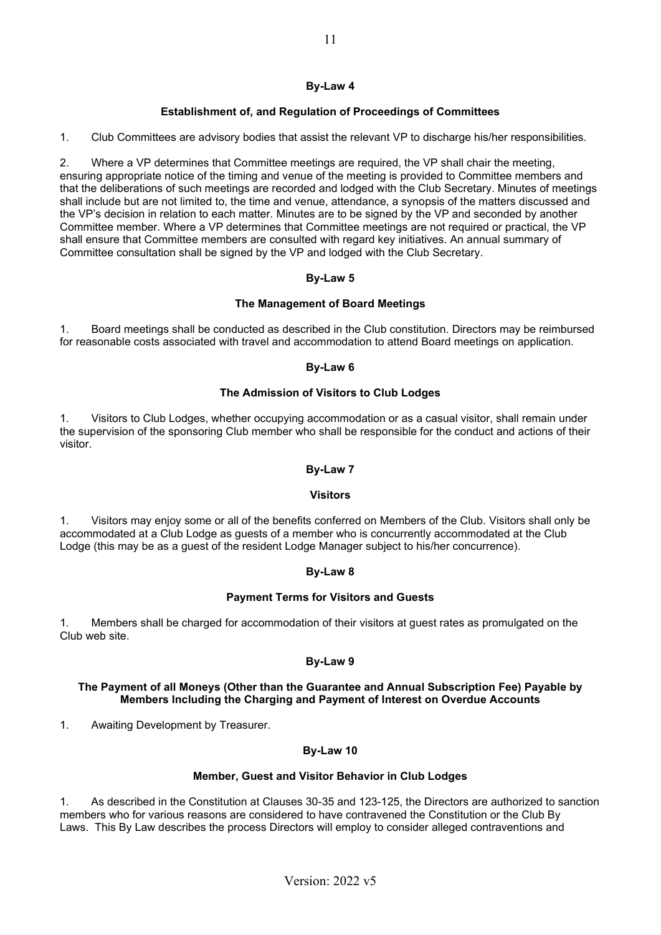## **Establishment of, and Regulation of Proceedings of Committees**

1. Club Committees are advisory bodies that assist the relevant VP to discharge his/her responsibilities.

2. Where a VP determines that Committee meetings are required, the VP shall chair the meeting, ensuring appropriate notice of the timing and venue of the meeting is provided to Committee members and that the deliberations of such meetings are recorded and lodged with the Club Secretary. Minutes of meetings shall include but are not limited to, the time and venue, attendance, a synopsis of the matters discussed and the VP's decision in relation to each matter. Minutes are to be signed by the VP and seconded by another Committee member. Where a VP determines that Committee meetings are not required or practical, the VP shall ensure that Committee members are consulted with regard key initiatives. An annual summary of Committee consultation shall be signed by the VP and lodged with the Club Secretary.

## **By-Law 5**

## **The Management of Board Meetings**

1. Board meetings shall be conducted as described in the Club constitution. Directors may be reimbursed for reasonable costs associated with travel and accommodation to attend Board meetings on application.

## **By-Law 6**

## **The Admission of Visitors to Club Lodges**

1. Visitors to Club Lodges, whether occupying accommodation or as a casual visitor, shall remain under the supervision of the sponsoring Club member who shall be responsible for the conduct and actions of their visitor.

## **By-Law 7**

## **Visitors**

1. Visitors may enjoy some or all of the benefits conferred on Members of the Club. Visitors shall only be accommodated at a Club Lodge as guests of a member who is concurrently accommodated at the Club Lodge (this may be as a guest of the resident Lodge Manager subject to his/her concurrence).

# **By-Law 8**

## **Payment Terms for Visitors and Guests**

1. Members shall be charged for accommodation of their visitors at guest rates as promulgated on the Club web site.

# **By-Law 9**

#### **The Payment of all Moneys (Other than the Guarantee and Annual Subscription Fee) Payable by Members Including the Charging and Payment of Interest on Overdue Accounts**

1. Awaiting Development by Treasurer.

## **By-Law 10**

## **Member, Guest and Visitor Behavior in Club Lodges**

1. As described in the Constitution at Clauses 30-35 and 123-125, the Directors are authorized to sanction members who for various reasons are considered to have contravened the Constitution or the Club By Laws. This By Law describes the process Directors will employ to consider alleged contraventions and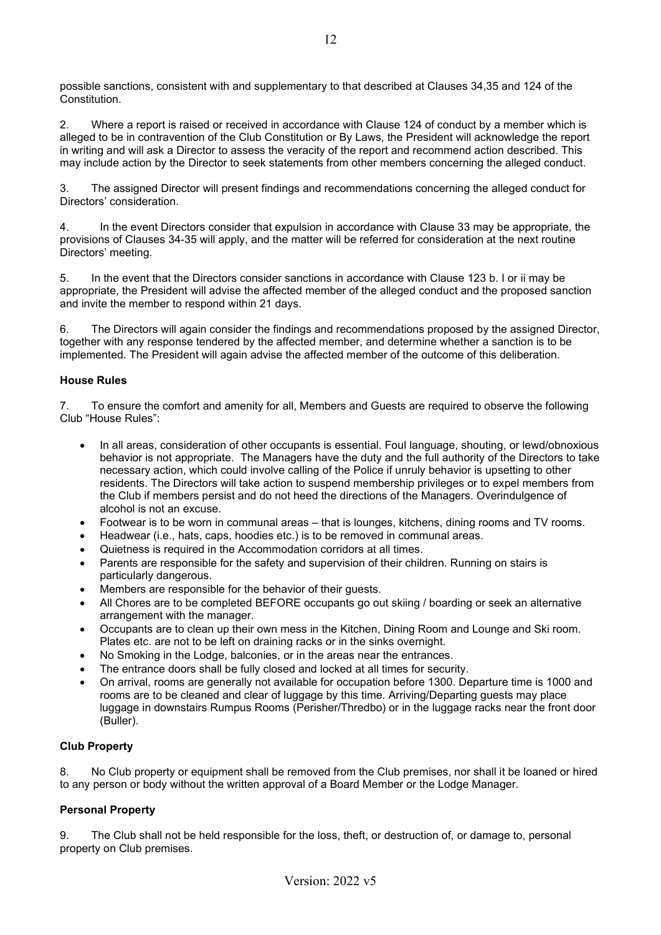possible sanctions, consistent with and supplementary to that described at Clauses 34,35 and 124 of the Constitution.

2. Where a report is raised or received in accordance with Clause 124 of conduct by a member which is alleged to be in contravention of the Club Constitution or By Laws, the President will acknowledge the report in writing and will ask a Director to assess the veracity of the report and recommend action described. This may include action by the Director to seek statements from other members concerning the alleged conduct.

3. The assigned Director will present findings and recommendations concerning the alleged conduct for Directors' consideration.

4. In the event Directors consider that expulsion in accordance with Clause 33 may be appropriate, the provisions of Clauses 34-35 will apply, and the matter will be referred for consideration at the next routine Directors' meeting.

5. In the event that the Directors consider sanctions in accordance with Clause 123 b. I or ii may be appropriate, the President will advise the affected member of the alleged conduct and the proposed sanction and invite the member to respond within 21 days.

6. The Directors will again consider the findings and recommendations proposed by the assigned Director, together with any response tendered by the affected member, and determine whether a sanction is to be implemented. The President will again advise the affected member of the outcome of this deliberation.

## **House Rules**

7. To ensure the comfort and amenity for all, Members and Guests are required to observe the following Club "House Rules":

- In all areas, consideration of other occupants is essential. Foul language, shouting, or lewd/obnoxious behavior is not appropriate. The Managers have the duty and the full authority of the Directors to take necessary action, which could involve calling of the Police if unruly behavior is upsetting to other residents. The Directors will take action to suspend membership privileges or to expel members from the Club if members persist and do not heed the directions of the Managers. Overindulgence of alcohol is not an excuse.
- Footwear is to be worn in communal areas that is lounges, kitchens, dining rooms and TV rooms.
- Headwear (i.e., hats, caps, hoodies etc.) is to be removed in communal areas.
- Quietness is required in the Accommodation corridors at all times.
- Parents are responsible for the safety and supervision of their children. Running on stairs is particularly dangerous.
- Members are responsible for the behavior of their guests.
- All Chores are to be completed BEFORE occupants go out skiing / boarding or seek an alternative arrangement with the manager.
- Occupants are to clean up their own mess in the Kitchen, Dining Room and Lounge and Ski room. Plates etc. are not to be left on draining racks or in the sinks overnight.
- No Smoking in the Lodge, balconies, or in the areas near the entrances.
- The entrance doors shall be fully closed and locked at all times for security.
- On arrival, rooms are generally not available for occupation before 1300. Departure time is 1000 and rooms are to be cleaned and clear of luggage by this time. Arriving/Departing guests may place luggage in downstairs Rumpus Rooms (Perisher/Thredbo) or in the luggage racks near the front door (Buller).

## **Club Property**

8. No Club property or equipment shall be removed from the Club premises, nor shall it be loaned or hired to any person or body without the written approval of a Board Member or the Lodge Manager.

# **Personal Property**

9. The Club shall not be held responsible for the loss, theft, or destruction of, or damage to, personal property on Club premises.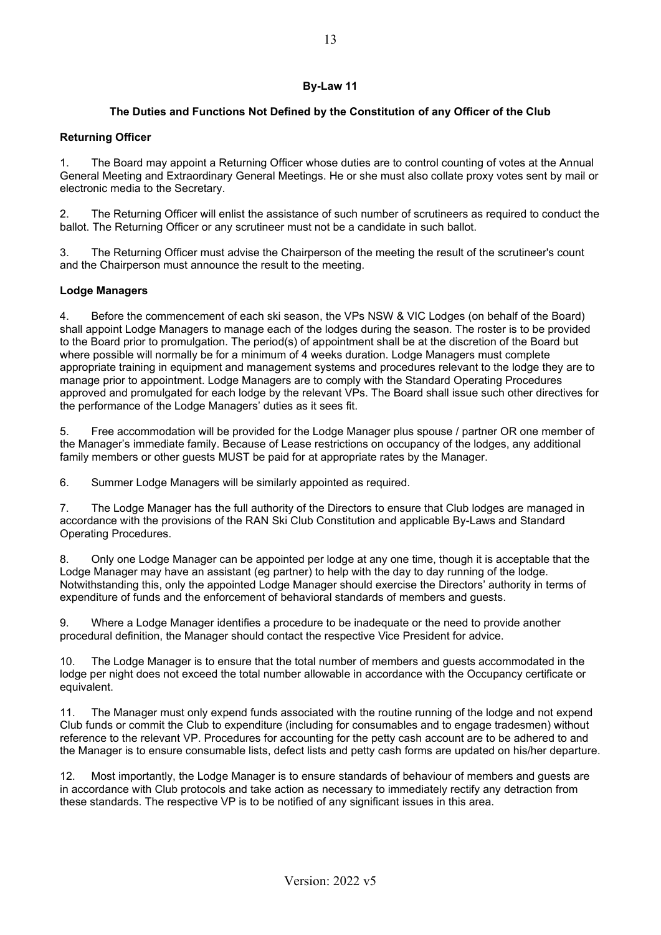# **The Duties and Functions Not Defined by the Constitution of any Officer of the Club**

## **Returning Officer**

1. The Board may appoint a Returning Officer whose duties are to control counting of votes at the Annual General Meeting and Extraordinary General Meetings. He or she must also collate proxy votes sent by mail or electronic media to the Secretary.

2. The Returning Officer will enlist the assistance of such number of scrutineers as required to conduct the ballot. The Returning Officer or any scrutineer must not be a candidate in such ballot.

3. The Returning Officer must advise the Chairperson of the meeting the result of the scrutineer's count and the Chairperson must announce the result to the meeting.

## **Lodge Managers**

4. Before the commencement of each ski season, the VPs NSW & VIC Lodges (on behalf of the Board) shall appoint Lodge Managers to manage each of the lodges during the season. The roster is to be provided to the Board prior to promulgation. The period(s) of appointment shall be at the discretion of the Board but where possible will normally be for a minimum of 4 weeks duration. Lodge Managers must complete appropriate training in equipment and management systems and procedures relevant to the lodge they are to manage prior to appointment. Lodge Managers are to comply with the Standard Operating Procedures approved and promulgated for each lodge by the relevant VPs. The Board shall issue such other directives for the performance of the Lodge Managers' duties as it sees fit.

5. Free accommodation will be provided for the Lodge Manager plus spouse / partner OR one member of the Manager's immediate family. Because of Lease restrictions on occupancy of the lodges, any additional family members or other guests MUST be paid for at appropriate rates by the Manager.

6. Summer Lodge Managers will be similarly appointed as required.

7. The Lodge Manager has the full authority of the Directors to ensure that Club lodges are managed in accordance with the provisions of the RAN Ski Club Constitution and applicable By-Laws and Standard Operating Procedures.

8. Only one Lodge Manager can be appointed per lodge at any one time, though it is acceptable that the Lodge Manager may have an assistant (eg partner) to help with the day to day running of the lodge. Notwithstanding this, only the appointed Lodge Manager should exercise the Directors' authority in terms of expenditure of funds and the enforcement of behavioral standards of members and guests.

9. Where a Lodge Manager identifies a procedure to be inadequate or the need to provide another procedural definition, the Manager should contact the respective Vice President for advice.

10. The Lodge Manager is to ensure that the total number of members and guests accommodated in the lodge per night does not exceed the total number allowable in accordance with the Occupancy certificate or equivalent.

11. The Manager must only expend funds associated with the routine running of the lodge and not expend Club funds or commit the Club to expenditure (including for consumables and to engage tradesmen) without reference to the relevant VP. Procedures for accounting for the petty cash account are to be adhered to and the Manager is to ensure consumable lists, defect lists and petty cash forms are updated on his/her departure.

12. Most importantly, the Lodge Manager is to ensure standards of behaviour of members and guests are in accordance with Club protocols and take action as necessary to immediately rectify any detraction from these standards. The respective VP is to be notified of any significant issues in this area.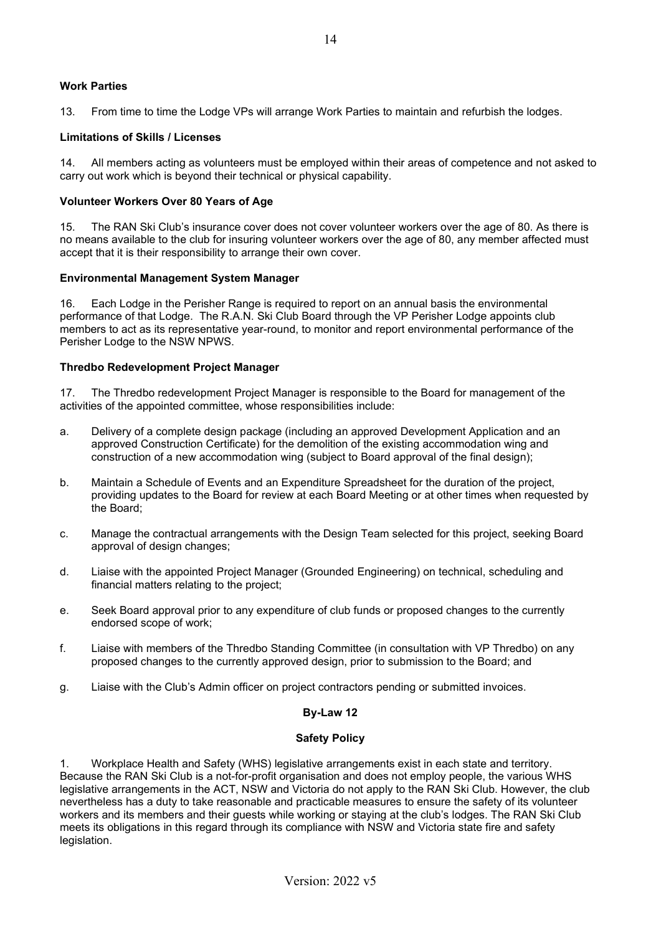## **Work Parties**

13. From time to time the Lodge VPs will arrange Work Parties to maintain and refurbish the lodges.

#### **Limitations of Skills / Licenses**

14. All members acting as volunteers must be employed within their areas of competence and not asked to carry out work which is beyond their technical or physical capability.

#### **Volunteer Workers Over 80 Years of Age**

15. The RAN Ski Club's insurance cover does not cover volunteer workers over the age of 80. As there is no means available to the club for insuring volunteer workers over the age of 80, any member affected must accept that it is their responsibility to arrange their own cover.

#### **Environmental Management System Manager**

16. Each Lodge in the Perisher Range is required to report on an annual basis the environmental performance of that Lodge. The R.A.N. Ski Club Board through the VP Perisher Lodge appoints club members to act as its representative year-round, to monitor and report environmental performance of the Perisher Lodge to the NSW NPWS.

## **Thredbo Redevelopment Project Manager**

17. The Thredbo redevelopment Project Manager is responsible to the Board for management of the activities of the appointed committee, whose responsibilities include:

- a. Delivery of a complete design package (including an approved Development Application and an approved Construction Certificate) for the demolition of the existing accommodation wing and construction of a new accommodation wing (subject to Board approval of the final design);
- b. Maintain a Schedule of Events and an Expenditure Spreadsheet for the duration of the project, providing updates to the Board for review at each Board Meeting or at other times when requested by the Board;
- c. Manage the contractual arrangements with the Design Team selected for this project, seeking Board approval of design changes;
- d. Liaise with the appointed Project Manager (Grounded Engineering) on technical, scheduling and financial matters relating to the project;
- e. Seek Board approval prior to any expenditure of club funds or proposed changes to the currently endorsed scope of work;
- f. Liaise with members of the Thredbo Standing Committee (in consultation with VP Thredbo) on any proposed changes to the currently approved design, prior to submission to the Board; and
- g. Liaise with the Club's Admin officer on project contractors pending or submitted invoices.

#### **By-Law 12**

## **Safety Policy**

1. Workplace Health and Safety (WHS) legislative arrangements exist in each state and territory. Because the RAN Ski Club is a not-for-profit organisation and does not employ people, the various WHS legislative arrangements in the ACT, NSW and Victoria do not apply to the RAN Ski Club. However, the club nevertheless has a duty to take reasonable and practicable measures to ensure the safety of its volunteer workers and its members and their guests while working or staying at the club's lodges. The RAN Ski Club meets its obligations in this regard through its compliance with NSW and Victoria state fire and safety legislation.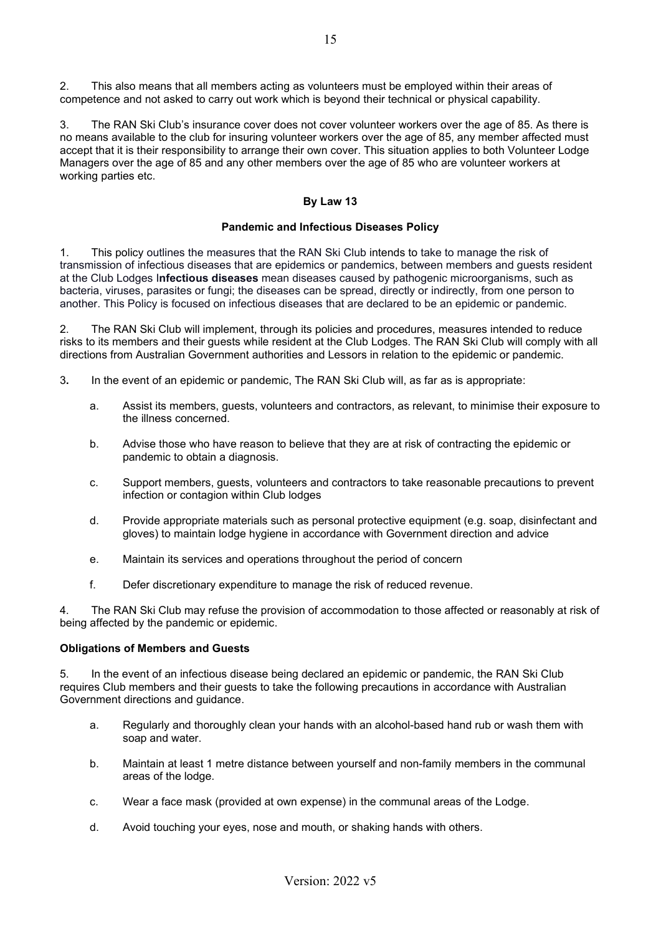2. This also means that all members acting as volunteers must be employed within their areas of competence and not asked to carry out work which is beyond their technical or physical capability.

3. The RAN Ski Club's insurance cover does not cover volunteer workers over the age of 85. As there is no means available to the club for insuring volunteer workers over the age of 85, any member affected must accept that it is their responsibility to arrange their own cover. This situation applies to both Volunteer Lodge Managers over the age of 85 and any other members over the age of 85 who are volunteer workers at working parties etc.

# **By Law 13**

## **Pandemic and Infectious Diseases Policy**

1. This policy outlines the measures that the RAN Ski Club intends to take to manage the risk of transmission of infectious diseases that are epidemics or pandemics, between members and guests resident at the Club Lodges I**nfectious diseases** mean diseases caused by pathogenic microorganisms, such as bacteria, viruses, parasites or fungi; the diseases can be spread, directly or indirectly, from one person to another. This Policy is focused on infectious diseases that are declared to be an epidemic or pandemic.

2. The RAN Ski Club will implement, through its policies and procedures, measures intended to reduce risks to its members and their guests while resident at the Club Lodges. The RAN Ski Club will comply with all directions from Australian Government authorities and Lessors in relation to the epidemic or pandemic.

- 3**.** In the event of an epidemic or pandemic, The RAN Ski Club will, as far as is appropriate:
	- a. Assist its members, guests, volunteers and contractors, as relevant, to minimise their exposure to the illness concerned.
	- b. Advise those who have reason to believe that they are at risk of contracting the epidemic or pandemic to obtain a diagnosis.
	- c. Support members, guests, volunteers and contractors to take reasonable precautions to prevent infection or contagion within Club lodges
	- d. Provide appropriate materials such as personal protective equipment (e.g. soap, disinfectant and gloves) to maintain lodge hygiene in accordance with Government direction and advice
	- e. Maintain its services and operations throughout the period of concern
	- f. Defer discretionary expenditure to manage the risk of reduced revenue.

4. The RAN Ski Club may refuse the provision of accommodation to those affected or reasonably at risk of being affected by the pandemic or epidemic.

## **Obligations of Members and Guests**

5. In the event of an infectious disease being declared an epidemic or pandemic, the RAN Ski Club requires Club members and their guests to take the following precautions in accordance with Australian Government directions and guidance.

- a. Regularly and thoroughly clean your hands with an alcohol-based hand rub or wash them with soap and water.
- b. Maintain at least 1 metre distance between yourself and non-family members in the communal areas of the lodge.
- c. Wear a face mask (provided at own expense) in the communal areas of the Lodge.
- d. Avoid touching your eyes, nose and mouth, or shaking hands with others.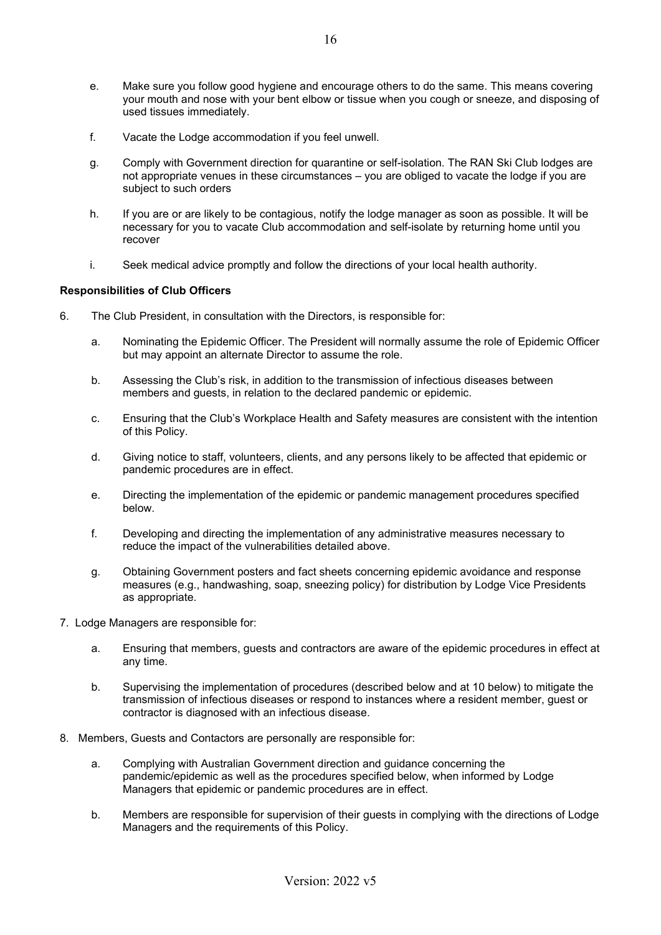- e. Make sure you follow good hygiene and encourage others to do the same. This means covering your mouth and nose with your bent elbow or tissue when you cough or sneeze, and disposing of used tissues immediately.
- f. Vacate the Lodge accommodation if you feel unwell.
- g. Comply with Government direction for quarantine or self-isolation. The RAN Ski Club lodges are not appropriate venues in these circumstances – you are obliged to vacate the lodge if you are subject to such orders
- h. If you are or are likely to be contagious, notify the lodge manager as soon as possible. It will be necessary for you to vacate Club accommodation and self-isolate by returning home until you recover
- i. Seek medical advice promptly and follow the directions of your local health authority.

#### **Responsibilities of Club Officers**

- 6. The Club President, in consultation with the Directors, is responsible for:
	- a. Nominating the Epidemic Officer. The President will normally assume the role of Epidemic Officer but may appoint an alternate Director to assume the role.
	- b. Assessing the Club's risk, in addition to the transmission of infectious diseases between members and guests, in relation to the declared pandemic or epidemic.
	- c. Ensuring that the Club's Workplace Health and Safety measures are consistent with the intention of this Policy.
	- d. Giving notice to staff, volunteers, clients, and any persons likely to be affected that epidemic or pandemic procedures are in effect.
	- e. Directing the implementation of the epidemic or pandemic management procedures specified below.
	- f. Developing and directing the implementation of any administrative measures necessary to reduce the impact of the vulnerabilities detailed above.
	- g. Obtaining Government posters and fact sheets concerning epidemic avoidance and response measures (e.g., handwashing, soap, sneezing policy) for distribution by Lodge Vice Presidents as appropriate.
- 7. Lodge Managers are responsible for:
	- a. Ensuring that members, guests and contractors are aware of the epidemic procedures in effect at any time.
	- b. Supervising the implementation of procedures (described below and at 10 below) to mitigate the transmission of infectious diseases or respond to instances where a resident member, guest or contractor is diagnosed with an infectious disease.
- 8. Members, Guests and Contactors are personally are responsible for:
	- a. Complying with Australian Government direction and guidance concerning the pandemic/epidemic as well as the procedures specified below, when informed by Lodge Managers that epidemic or pandemic procedures are in effect.
	- b. Members are responsible for supervision of their guests in complying with the directions of Lodge Managers and the requirements of this Policy.